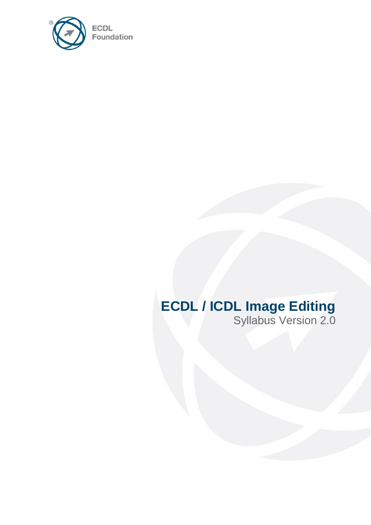

# **ECDL / ICDL Image Editing**

Syllabus Version 2.0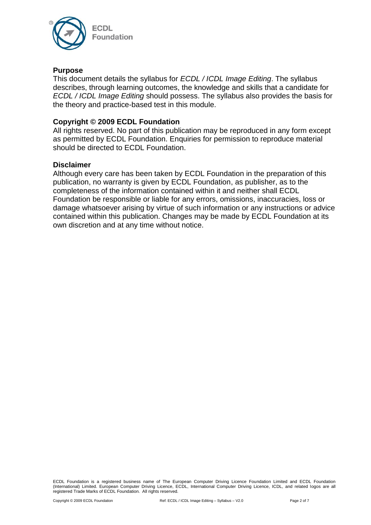

#### **Purpose**

This document details the syllabus for *ECDL / ICDL Image Editing*. The syllabus describes, through learning outcomes, the knowledge and skills that a candidate for *ECDL / ICDL Image Editing* should possess. The syllabus also provides the basis for the theory and practice-based test in this module.

#### **Copyright © 2009 ECDL Foundation**

All rights reserved. No part of this publication may be reproduced in any form except as permitted by ECDL Foundation. Enquiries for permission to reproduce material should be directed to ECDL Foundation.

#### **Disclaimer**

Although every care has been taken by ECDL Foundation in the preparation of this publication, no warranty is given by ECDL Foundation, as publisher, as to the completeness of the information contained within it and neither shall ECDL Foundation be responsible or liable for any errors, omissions, inaccuracies, loss or damage whatsoever arising by virtue of such information or any instructions or advice contained within this publication. Changes may be made by ECDL Foundation at its own discretion and at any time without notice.

ECDL Foundation is a registered business name of The European Computer Driving Licence Foundation Limited and ECDL Foundation (International) Limited. European Computer Driving Licence, ECDL, International Computer Driving Licence, ICDL, and related logos are all registered Trade Marks of ECDL Foundation. All rights reserved.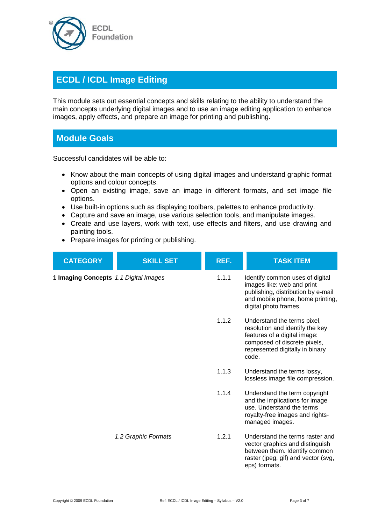

## **ECDL / ICDL Image Editing**

This module sets out essential concepts and skills relating to the ability to understand the main concepts underlying digital images and to use an image editing application to enhance images, apply effects, and prepare an image for printing and publishing.

### **Module Goals**

Successful candidates will be able to:

- Know about the main concepts of using digital images and understand graphic format options and colour concepts.
- Open an existing image, save an image in different formats, and set image file options.
- Use built-in options such as displaying toolbars, palettes to enhance productivity.
- Capture and save an image, use various selection tools, and manipulate images.
- Create and use layers, work with text, use effects and filters, and use drawing and painting tools.
- Prepare images for printing or publishing.

| <b>CATEGORY</b>                       | <b>SKILL SET</b>    | REF.  | <b>TASK ITEM</b>                                                                                                                                                           |
|---------------------------------------|---------------------|-------|----------------------------------------------------------------------------------------------------------------------------------------------------------------------------|
| 1 Imaging Concepts 1.1 Digital Images |                     | 1.1.1 | Identify common uses of digital<br>images like: web and print<br>publishing, distribution by e-mail<br>and mobile phone, home printing,<br>digital photo frames.           |
|                                       |                     | 1.1.2 | Understand the terms pixel,<br>resolution and identify the key<br>features of a digital image:<br>composed of discrete pixels,<br>represented digitally in binary<br>code. |
|                                       |                     | 1.1.3 | Understand the terms lossy,<br>lossless image file compression.                                                                                                            |
|                                       |                     | 1.1.4 | Understand the term copyright<br>and the implications for image<br>use. Understand the terms<br>royalty-free images and rights-<br>managed images.                         |
|                                       | 1.2 Graphic Formats | 1.2.1 | Understand the terms raster and<br>vector graphics and distinguish<br>between them. Identify common<br>raster (jpeg, gif) and vector (svg,<br>eps) formats.                |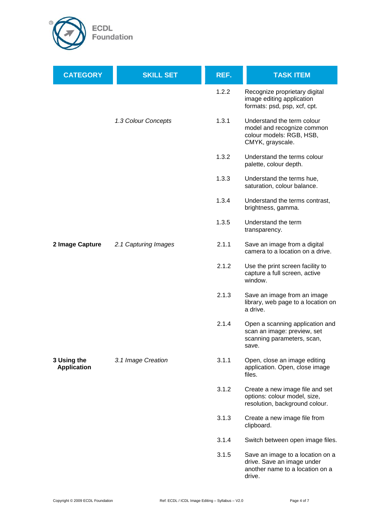

| <b>CATEGORY</b>                   | <b>SKILL SET</b>     | REF.  | <b>TASK ITEM</b>                                                                                            |
|-----------------------------------|----------------------|-------|-------------------------------------------------------------------------------------------------------------|
|                                   |                      | 1.2.2 | Recognize proprietary digital<br>image editing application<br>formats: psd, psp, xcf, cpt.                  |
|                                   | 1.3 Colour Concepts  | 1.3.1 | Understand the term colour<br>model and recognize common<br>colour models: RGB, HSB,<br>CMYK, grayscale.    |
|                                   |                      | 1.3.2 | Understand the terms colour<br>palette, colour depth.                                                       |
|                                   |                      | 1.3.3 | Understand the terms hue,<br>saturation, colour balance.                                                    |
|                                   |                      | 1.3.4 | Understand the terms contrast,<br>brightness, gamma.                                                        |
|                                   |                      | 1.3.5 | Understand the term<br>transparency.                                                                        |
| 2 Image Capture                   | 2.1 Capturing Images | 2.1.1 | Save an image from a digital<br>camera to a location on a drive.                                            |
|                                   |                      | 2.1.2 | Use the print screen facility to<br>capture a full screen, active<br>window.                                |
|                                   |                      | 2.1.3 | Save an image from an image<br>library, web page to a location on<br>a drive.                               |
|                                   |                      | 2.1.4 | Open a scanning application and<br>scan an image: preview, set<br>scanning parameters, scan,<br>save.       |
| 3 Using the<br><b>Application</b> | 3.1 Image Creation   | 3.1.1 | Open, close an image editing<br>application. Open, close image<br>files.                                    |
|                                   |                      | 3.1.2 | Create a new image file and set<br>options: colour model, size,<br>resolution, background colour.           |
|                                   |                      | 3.1.3 | Create a new image file from<br>clipboard.                                                                  |
|                                   |                      | 3.1.4 | Switch between open image files.                                                                            |
|                                   |                      | 3.1.5 | Save an image to a location on a<br>drive. Save an image under<br>another name to a location on a<br>drive. |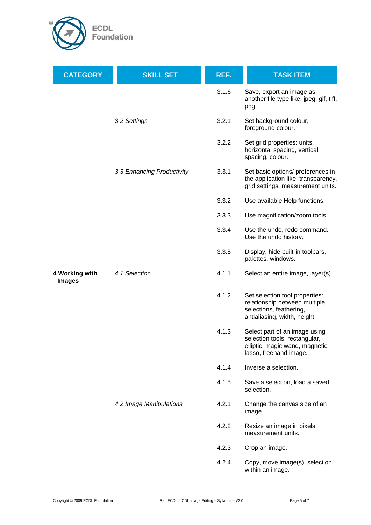

| <b>CATEGORY</b>                 | <b>SKILL SET</b>           | REF.  | <b>TASK ITEM</b>                                                                                                           |
|---------------------------------|----------------------------|-------|----------------------------------------------------------------------------------------------------------------------------|
|                                 |                            | 3.1.6 | Save, export an image as<br>another file type like: jpeg, gif, tiff,<br>png.                                               |
|                                 | 3.2 Settings               | 3.2.1 | Set background colour,<br>foreground colour.                                                                               |
|                                 |                            | 3.2.2 | Set grid properties: units,<br>horizontal spacing, vertical<br>spacing, colour.                                            |
|                                 | 3.3 Enhancing Productivity | 3.3.1 | Set basic options/ preferences in<br>the application like: transparency,<br>grid settings, measurement units.              |
|                                 |                            | 3.3.2 | Use available Help functions.                                                                                              |
|                                 |                            | 3.3.3 | Use magnification/zoom tools.                                                                                              |
|                                 |                            | 3.3.4 | Use the undo, redo command.<br>Use the undo history.                                                                       |
|                                 |                            | 3.3.5 | Display, hide built-in toolbars,<br>palettes, windows.                                                                     |
| 4 Working with<br><b>Images</b> | 4.1 Selection              | 4.1.1 | Select an entire image, layer(s).                                                                                          |
|                                 |                            | 4.1.2 | Set selection tool properties:<br>relationship between multiple<br>selections, feathering,<br>antialiasing, width, height. |
|                                 |                            | 4.1.3 | Select part of an image using<br>selection tools: rectangular,<br>elliptic, magic wand, magnetic<br>lasso, freehand image. |
|                                 |                            | 4.1.4 | Inverse a selection.                                                                                                       |
|                                 |                            | 4.1.5 | Save a selection, load a saved<br>selection.                                                                               |
|                                 | 4.2 Image Manipulations    | 4.2.1 | Change the canvas size of an<br>image.                                                                                     |
|                                 |                            | 4.2.2 | Resize an image in pixels,<br>measurement units.                                                                           |
|                                 |                            | 4.2.3 | Crop an image.                                                                                                             |
|                                 |                            | 4.2.4 | Copy, move image(s), selection<br>within an image.                                                                         |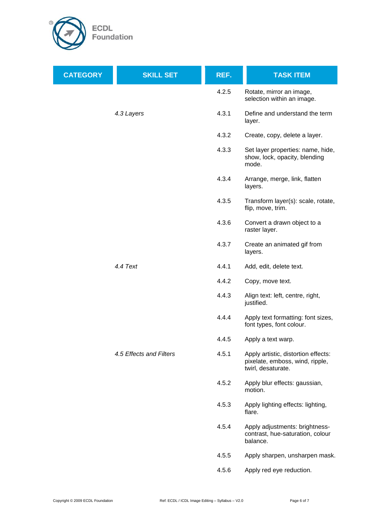

| <b>CATEGORY</b> | <b>SKILL SET</b>        | REF.  | <b>TASK ITEM</b>                                                                             |
|-----------------|-------------------------|-------|----------------------------------------------------------------------------------------------|
|                 |                         | 4.2.5 | Rotate, mirror an image,<br>selection within an image.                                       |
|                 | 4.3 Layers              | 4.3.1 | Define and understand the term<br>layer.                                                     |
|                 |                         | 4.3.2 | Create, copy, delete a layer.                                                                |
|                 |                         | 4.3.3 | Set layer properties: name, hide,<br>show, lock, opacity, blending<br>mode.                  |
|                 |                         | 4.3.4 | Arrange, merge, link, flatten<br>layers.                                                     |
|                 |                         | 4.3.5 | Transform layer(s): scale, rotate,<br>flip, move, trim.                                      |
|                 |                         | 4.3.6 | Convert a drawn object to a<br>raster layer.                                                 |
|                 |                         | 4.3.7 | Create an animated gif from<br>layers.                                                       |
|                 | 4.4 Text                | 4.4.1 | Add, edit, delete text.                                                                      |
|                 |                         | 4.4.2 | Copy, move text.                                                                             |
|                 |                         | 4.4.3 | Align text: left, centre, right,<br>justified.                                               |
|                 |                         | 4.4.4 | Apply text formatting: font sizes,<br>font types, font colour.                               |
|                 |                         | 4.4.5 | Apply a text warp.                                                                           |
|                 | 4.5 Effects and Filters | 4.5.1 | Apply artistic, distortion effects:<br>pixelate, emboss, wind, ripple,<br>twirl, desaturate. |
|                 |                         | 4.5.2 | Apply blur effects: gaussian,<br>motion.                                                     |
|                 |                         | 4.5.3 | Apply lighting effects: lighting,<br>flare.                                                  |
|                 |                         | 4.5.4 | Apply adjustments: brightness-<br>contrast, hue-saturation, colour<br>balance.               |
|                 |                         | 4.5.5 | Apply sharpen, unsharpen mask.                                                               |
|                 |                         | 4.5.6 | Apply red eye reduction.                                                                     |